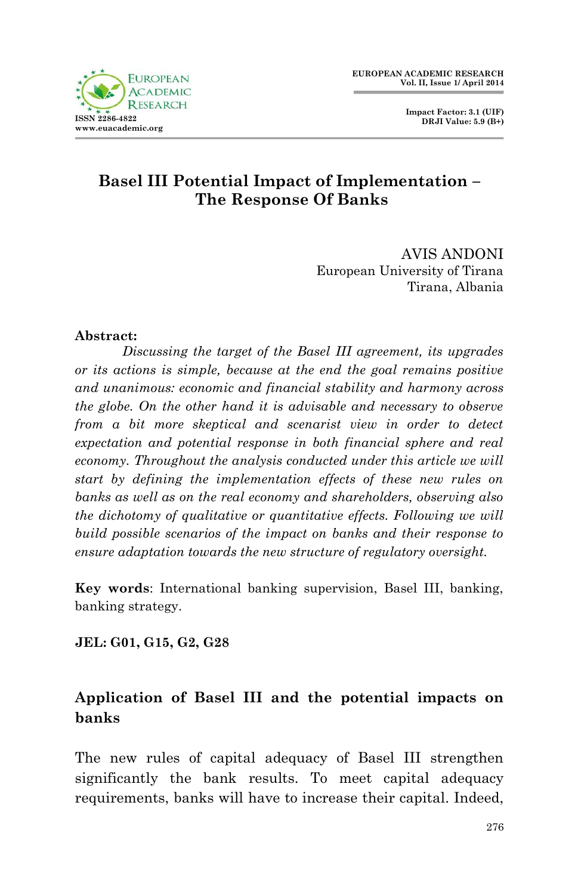



#### **Basel III Potential Impact of Implementation – The Response Of Banks**

AVIS ANDONI European University of Tirana Tirana, Albania

#### **Abstract:**

*Discussing the target of the Basel III agreement, its upgrades or its actions is simple, because at the end the goal remains positive and unanimous: economic and financial stability and harmony across the globe. On the other hand it is advisable and necessary to observe from a bit more skeptical and scenarist view in order to detect expectation and potential response in both financial sphere and real economy. Throughout the analysis conducted under this article we will start by defining the implementation effects of these new rules on banks as well as on the real economy and shareholders, observing also the dichotomy of qualitative or quantitative effects. Following we will build possible scenarios of the impact on banks and their response to ensure adaptation towards the new structure of regulatory oversight.*

**Key words**: International banking supervision, Basel III, banking, banking strategy.

**JEL: G01, G15, G2, G28**

## **Application of Basel III and the potential impacts on banks**

The new rules of capital adequacy of Basel III strengthen significantly the bank results. To meet capital adequacy requirements, banks will have to increase their capital. Indeed,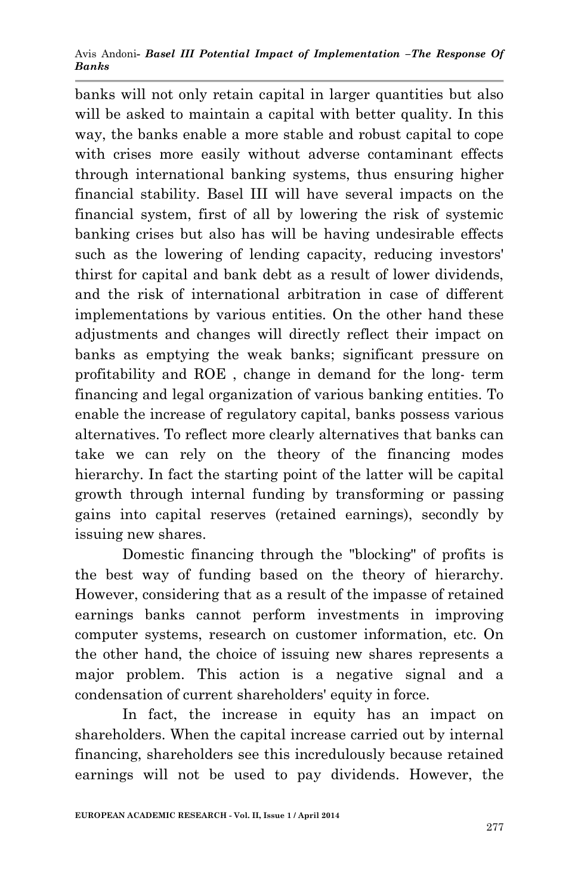Avis Andoni*- Basel III Potential Impact of Implementation –The Response Of Banks*

banks will not only retain capital in larger quantities but also will be asked to maintain a capital with better quality. In this way, the banks enable a more stable and robust capital to cope with crises more easily without adverse contaminant effects through international banking systems, thus ensuring higher financial stability. Basel III will have several impacts on the financial system, first of all by lowering the risk of systemic banking crises but also has will be having undesirable effects such as the lowering of lending capacity, reducing investors' thirst for capital and bank debt as a result of lower dividends, and the risk of international arbitration in case of different implementations by various entities. On the other hand these adjustments and changes will directly reflect their impact on banks as emptying the weak banks; significant pressure on profitability and ROE , change in demand for the long- term financing and legal organization of various banking entities. To enable the increase of regulatory capital, banks possess various alternatives. To reflect more clearly alternatives that banks can take we can rely on the theory of the financing modes hierarchy. In fact the starting point of the latter will be capital growth through internal funding by transforming or passing gains into capital reserves (retained earnings), secondly by issuing new shares.

Domestic financing through the "blocking" of profits is the best way of funding based on the theory of hierarchy. However, considering that as a result of the impasse of retained earnings banks cannot perform investments in improving computer systems, research on customer information, etc. On the other hand, the choice of issuing new shares represents a major problem. This action is a negative signal and a condensation of current shareholders' equity in force.

In fact, the increase in equity has an impact on shareholders. When the capital increase carried out by internal financing, shareholders see this incredulously because retained earnings will not be used to pay dividends. However, the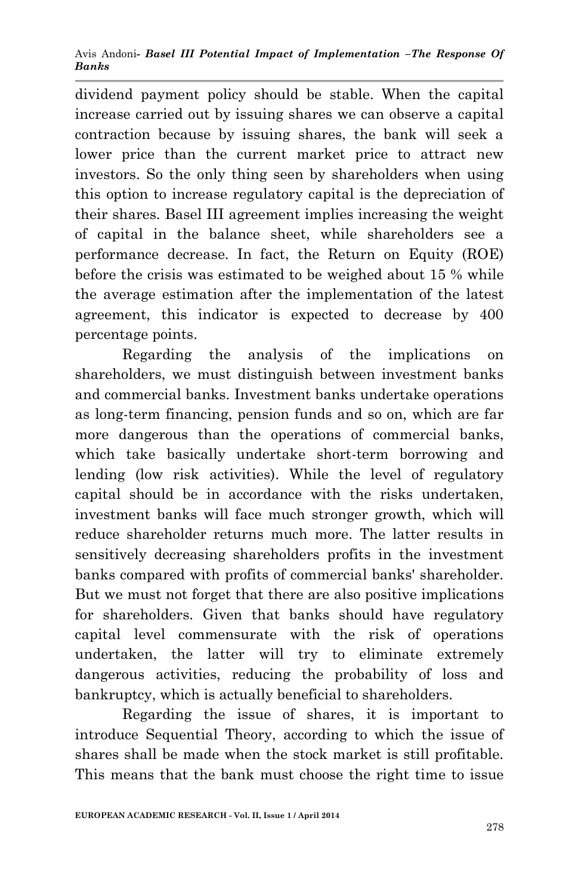Avis Andoni*- Basel III Potential Impact of Implementation –The Response Of Banks*

dividend payment policy should be stable. When the capital increase carried out by issuing shares we can observe a capital contraction because by issuing shares, the bank will seek a lower price than the current market price to attract new investors. So the only thing seen by shareholders when using this option to increase regulatory capital is the depreciation of their shares. Basel III agreement implies increasing the weight of capital in the balance sheet, while shareholders see a performance decrease. In fact, the Return on Equity (ROE) before the crisis was estimated to be weighed about 15 % while the average estimation after the implementation of the latest agreement, this indicator is expected to decrease by 400 percentage points.

Regarding the analysis of the implications on shareholders, we must distinguish between investment banks and commercial banks. Investment banks undertake operations as long-term financing, pension funds and so on, which are far more dangerous than the operations of commercial banks, which take basically undertake short-term borrowing and lending (low risk activities). While the level of regulatory capital should be in accordance with the risks undertaken, investment banks will face much stronger growth, which will reduce shareholder returns much more. The latter results in sensitively decreasing shareholders profits in the investment banks compared with profits of commercial banks' shareholder. But we must not forget that there are also positive implications for shareholders. Given that banks should have regulatory capital level commensurate with the risk of operations undertaken, the latter will try to eliminate extremely dangerous activities, reducing the probability of loss and bankruptcy, which is actually beneficial to shareholders.

Regarding the issue of shares, it is important to introduce Sequential Theory, according to which the issue of shares shall be made when the stock market is still profitable. This means that the bank must choose the right time to issue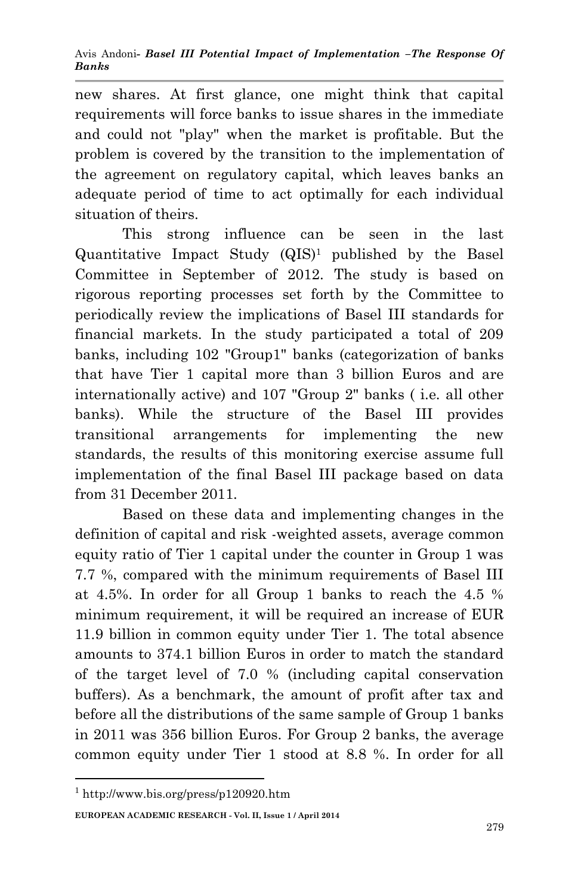new shares. At first glance, one might think that capital requirements will force banks to issue shares in the immediate and could not "play" when the market is profitable. But the problem is covered by the transition to the implementation of the agreement on regulatory capital, which leaves banks an adequate period of time to act optimally for each individual situation of theirs.

This strong influence can be seen in the last Quantitative Impact Study (QIS)<sup>1</sup> published by the Basel Committee in September of 2012. The study is based on rigorous reporting processes set forth by the Committee to periodically review the implications of Basel III standards for financial markets. In the study participated a total of 209 banks, including 102 "Group1" banks (categorization of banks that have Tier 1 capital more than 3 billion Euros and are internationally active) and 107 "Group 2" banks ( i.e. all other banks). While the structure of the Basel III provides transitional arrangements for implementing the new standards, the results of this monitoring exercise assume full implementation of the final Basel III package based on data from 31 December 2011.

Based on these data and implementing changes in the definition of capital and risk -weighted assets, average common equity ratio of Tier 1 capital under the counter in Group 1 was 7.7 %, compared with the minimum requirements of Basel III at 4.5%. In order for all Group 1 banks to reach the 4.5 % minimum requirement, it will be required an increase of EUR 11.9 billion in common equity under Tier 1. The total absence amounts to 374.1 billion Euros in order to match the standard of the target level of 7.0 % (including capital conservation buffers). As a benchmark, the amount of profit after tax and before all the distributions of the same sample of Group 1 banks in 2011 was 356 billion Euros. For Group 2 banks, the average common equity under Tier 1 stood at 8.8 %. In order for all

1

<sup>1</sup> <http://www.bis.org/press/p120920.htm>

**EUROPEAN ACADEMIC RESEARCH - Vol. II, Issue 1 / April 2014**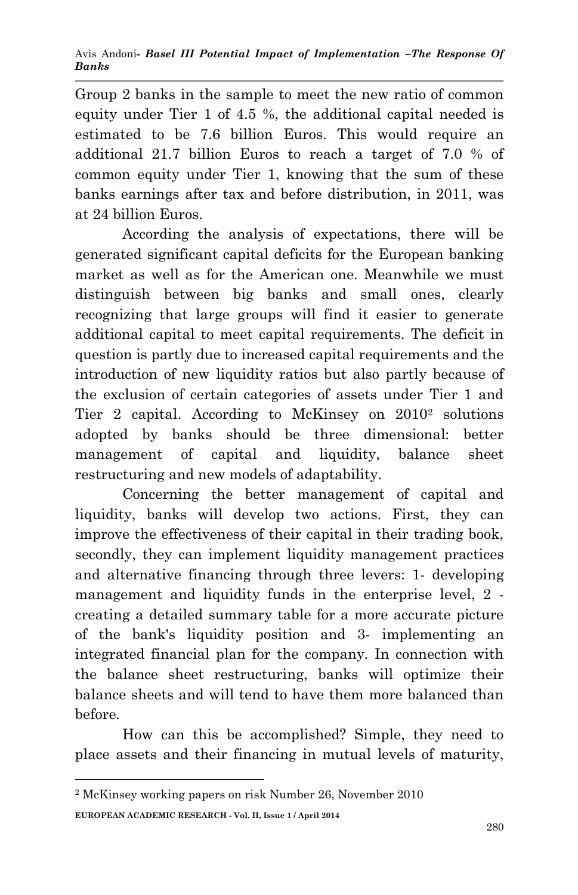Group 2 banks in the sample to meet the new ratio of common equity under Tier 1 of 4.5 %, the additional capital needed is estimated to be 7.6 billion Euros. This would require an additional 21.7 billion Euros to reach a target of 7.0 % of common equity under Tier 1, knowing that the sum of these banks earnings after tax and before distribution, in 2011, was at 24 billion Euros.

According the analysis of expectations, there will be generated significant capital deficits for the European banking market as well as for the American one. Meanwhile we must distinguish between big banks and small ones, clearly recognizing that large groups will find it easier to generate additional capital to meet capital requirements. The deficit in question is partly due to increased capital requirements and the introduction of new liquidity ratios but also partly because of the exclusion of certain categories of assets under Tier 1 and Tier 2 capital. According to McKinsey on 2010<sup>2</sup> solutions adopted by banks should be three dimensional: better management of capital and liquidity, balance sheet restructuring and new models of adaptability.

Concerning the better management of capital and liquidity, banks will develop two actions. First, they can improve the effectiveness of their capital in their trading book, secondly, they can implement liquidity management practices and alternative financing through three levers: 1- developing management and liquidity funds in the enterprise level, 2 creating a detailed summary table for a more accurate picture of the bank's liquidity position and 3- implementing an integrated financial plan for the company. In connection with the balance sheet restructuring, banks will optimize their balance sheets and will tend to have them more balanced than before.

How can this be accomplished? Simple, they need to place assets and their financing in mutual levels of maturity,

**.** 

**EUROPEAN ACADEMIC RESEARCH - Vol. II, Issue 1 / April 2014** <sup>2</sup> McKinsey working papers on risk Number 26, November 2010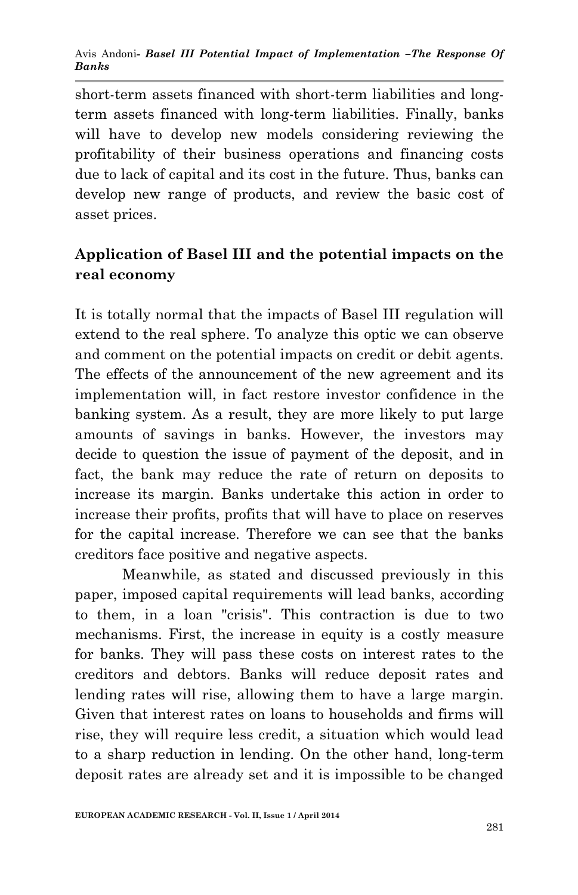Avis Andoni*- Basel III Potential Impact of Implementation –The Response Of Banks*

short-term assets financed with short-term liabilities and longterm assets financed with long-term liabilities. Finally, banks will have to develop new models considering reviewing the profitability of their business operations and financing costs due to lack of capital and its cost in the future. Thus, banks can develop new range of products, and review the basic cost of asset prices.

## **Application of Basel III and the potential impacts on the real economy**

It is totally normal that the impacts of Basel III regulation will extend to the real sphere. To analyze this optic we can observe and comment on the potential impacts on credit or debit agents. The effects of the announcement of the new agreement and its implementation will, in fact restore investor confidence in the banking system. As a result, they are more likely to put large amounts of savings in banks. However, the investors may decide to question the issue of payment of the deposit, and in fact, the bank may reduce the rate of return on deposits to increase its margin. Banks undertake this action in order to increase their profits, profits that will have to place on reserves for the capital increase. Therefore we can see that the banks creditors face positive and negative aspects.

Meanwhile, as stated and discussed previously in this paper, imposed capital requirements will lead banks, according to them, in a loan "crisis". This contraction is due to two mechanisms. First, the increase in equity is a costly measure for banks. They will pass these costs on interest rates to the creditors and debtors. Banks will reduce deposit rates and lending rates will rise, allowing them to have a large margin. Given that interest rates on loans to households and firms will rise, they will require less credit, a situation which would lead to a sharp reduction in lending. On the other hand, long-term deposit rates are already set and it is impossible to be changed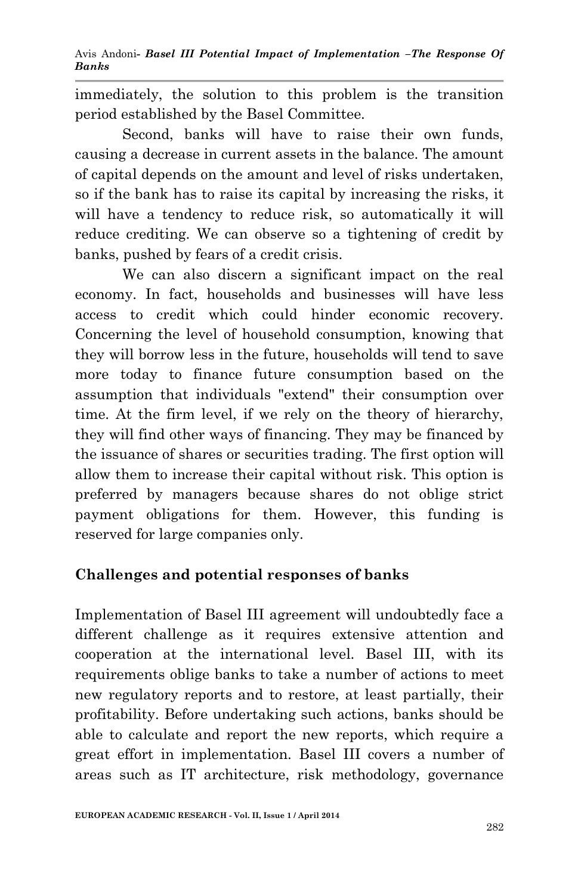immediately, the solution to this problem is the transition period established by the Basel Committee.

Second, banks will have to raise their own funds, causing a decrease in current assets in the balance. The amount of capital depends on the amount and level of risks undertaken, so if the bank has to raise its capital by increasing the risks, it will have a tendency to reduce risk, so automatically it will reduce crediting. We can observe so a tightening of credit by banks, pushed by fears of a credit crisis.

We can also discern a significant impact on the real economy. In fact, households and businesses will have less access to credit which could hinder economic recovery. Concerning the level of household consumption, knowing that they will borrow less in the future, households will tend to save more today to finance future consumption based on the assumption that individuals "extend" their consumption over time. At the firm level, if we rely on the theory of hierarchy, they will find other ways of financing. They may be financed by the issuance of shares or securities trading. The first option will allow them to increase their capital without risk. This option is preferred by managers because shares do not oblige strict payment obligations for them. However, this funding is reserved for large companies only.

## **Challenges and potential responses of banks**

Implementation of Basel III agreement will undoubtedly face a different challenge as it requires extensive attention and cooperation at the international level. Basel III, with its requirements oblige banks to take a number of actions to meet new regulatory reports and to restore, at least partially, their profitability. Before undertaking such actions, banks should be able to calculate and report the new reports, which require a great effort in implementation. Basel III covers a number of areas such as IT architecture, risk methodology, governance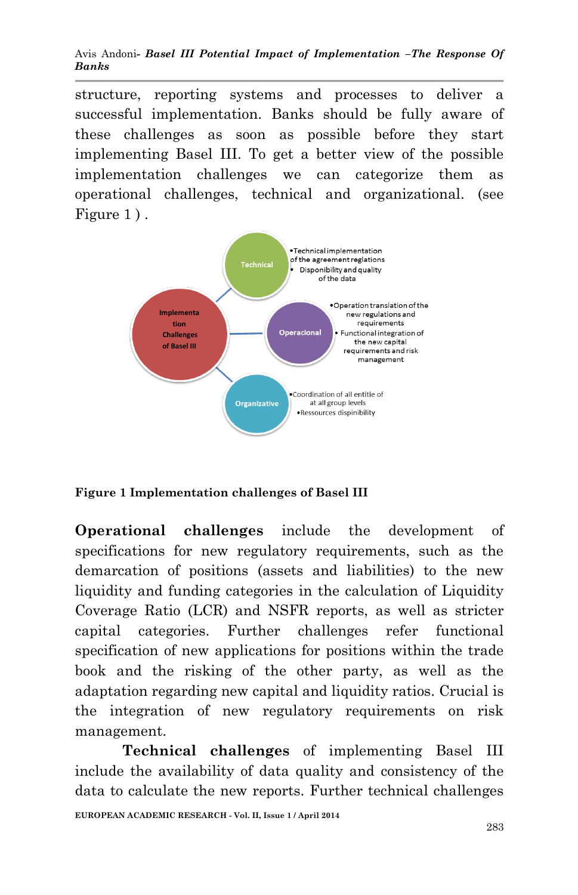Avis Andoni*- Basel III Potential Impact of Implementation –The Response Of Banks*

structure, reporting systems and processes to deliver a successful implementation. Banks should be fully aware of these challenges as soon as possible before they start implementing Basel III. To get a better view of the possible implementation challenges we can categorize them as operational challenges, technical and organizational. (see Figure 1).



**Figure 1 Implementation challenges of Basel III**

**Operational challenges** include the development of specifications for new regulatory requirements, such as the demarcation of positions (assets and liabilities) to the new liquidity and funding categories in the calculation of Liquidity Coverage Ratio (LCR) and NSFR reports, as well as stricter capital categories. Further challenges refer functional specification of new applications for positions within the trade book and the risking of the other party, as well as the adaptation regarding new capital and liquidity ratios. Crucial is the integration of new regulatory requirements on risk management.

**Technical challenges** of implementing Basel III include the availability of data quality and consistency of the data to calculate the new reports. Further technical challenges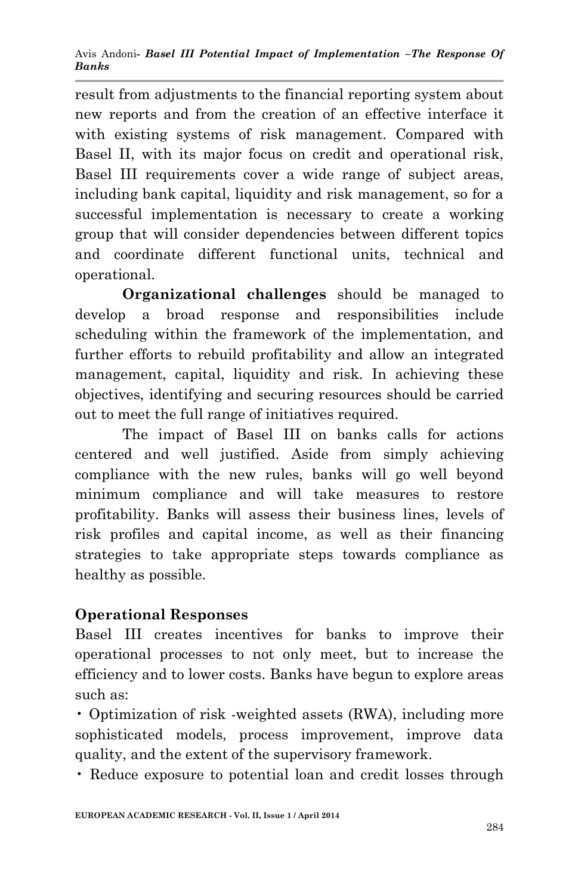result from adjustments to the financial reporting system about new reports and from the creation of an effective interface it with existing systems of risk management. Compared with Basel II, with its major focus on credit and operational risk, Basel III requirements cover a wide range of subject areas, including bank capital, liquidity and risk management, so for a successful implementation is necessary to create a working group that will consider dependencies between different topics and coordinate different functional units, technical and operational.

**Organizational challenges** should be managed to develop a broad response and responsibilities include scheduling within the framework of the implementation, and further efforts to rebuild profitability and allow an integrated management, capital, liquidity and risk. In achieving these objectives, identifying and securing resources should be carried out to meet the full range of initiatives required.

The impact of Basel III on banks calls for actions centered and well justified. Aside from simply achieving compliance with the new rules, banks will go well beyond minimum compliance and will take measures to restore profitability. Banks will assess their business lines, levels of risk profiles and capital income, as well as their financing strategies to take appropriate steps towards compliance as healthy as possible.

## **Operational Responses**

Basel III creates incentives for banks to improve their operational processes to not only meet, but to increase the efficiency and to lower costs. Banks have begun to explore areas such as:

• Optimization of risk -weighted assets (RWA), including more sophisticated models, process improvement, improve data quality, and the extent of the supervisory framework.

• Reduce exposure to potential loan and credit losses through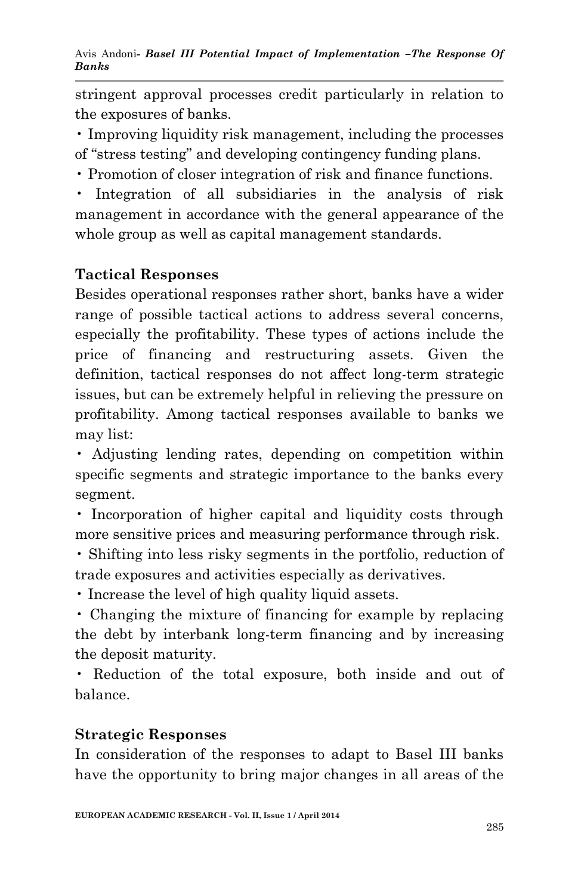stringent approval processes credit particularly in relation to the exposures of banks.

• Improving liquidity risk management, including the processes of "stress testing" and developing contingency funding plans.

• Promotion of closer integration of risk and finance functions.

• Integration of all subsidiaries in the analysis of risk management in accordance with the general appearance of the whole group as well as capital management standards.

# **Tactical Responses**

Besides operational responses rather short, banks have a wider range of possible tactical actions to address several concerns, especially the profitability. These types of actions include the price of financing and restructuring assets. Given the definition, tactical responses do not affect long-term strategic issues, but can be extremely helpful in relieving the pressure on profitability. Among tactical responses available to banks we may list:

• Adjusting lending rates, depending on competition within specific segments and strategic importance to the banks every segment.

• Incorporation of higher capital and liquidity costs through more sensitive prices and measuring performance through risk.

• Shifting into less risky segments in the portfolio, reduction of trade exposures and activities especially as derivatives.

• Increase the level of high quality liquid assets.

• Changing the mixture of financing for example by replacing the debt by interbank long-term financing and by increasing the deposit maturity.

• Reduction of the total exposure, both inside and out of balance.

#### **Strategic Responses**

In consideration of the responses to adapt to Basel III banks have the opportunity to bring major changes in all areas of the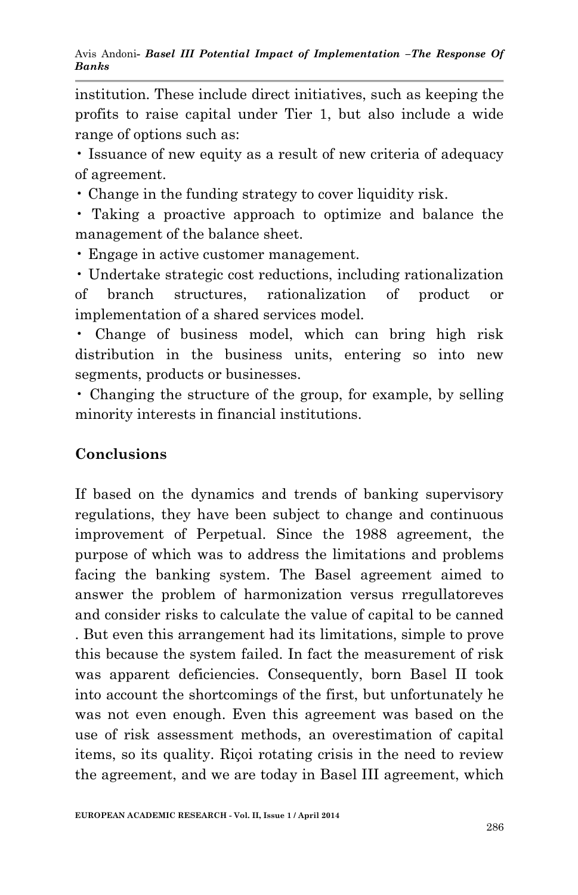institution. These include direct initiatives, such as keeping the profits to raise capital under Tier 1, but also include a wide range of options such as:

• Issuance of new equity as a result of new criteria of adequacy of agreement.

• Change in the funding strategy to cover liquidity risk.

• Taking a proactive approach to optimize and balance the management of the balance sheet.

• Engage in active customer management.

• Undertake strategic cost reductions, including rationalization of branch structures, rationalization of product or implementation of a shared services model.

• Change of business model, which can bring high risk distribution in the business units, entering so into new segments, products or businesses.

• Changing the structure of the group, for example, by selling minority interests in financial institutions.

#### **Conclusions**

If based on the dynamics and trends of banking supervisory regulations, they have been subject to change and continuous improvement of Perpetual. Since the 1988 agreement, the purpose of which was to address the limitations and problems facing the banking system. The Basel agreement aimed to answer the problem of harmonization versus rregullatoreves and consider risks to calculate the value of capital to be canned . But even this arrangement had its limitations, simple to prove this because the system failed. In fact the measurement of risk was apparent deficiencies. Consequently, born Basel II took into account the shortcomings of the first, but unfortunately he was not even enough. Even this agreement was based on the use of risk assessment methods, an overestimation of capital items, so its quality. Riçoi rotating crisis in the need to review the agreement, and we are today in Basel III agreement, which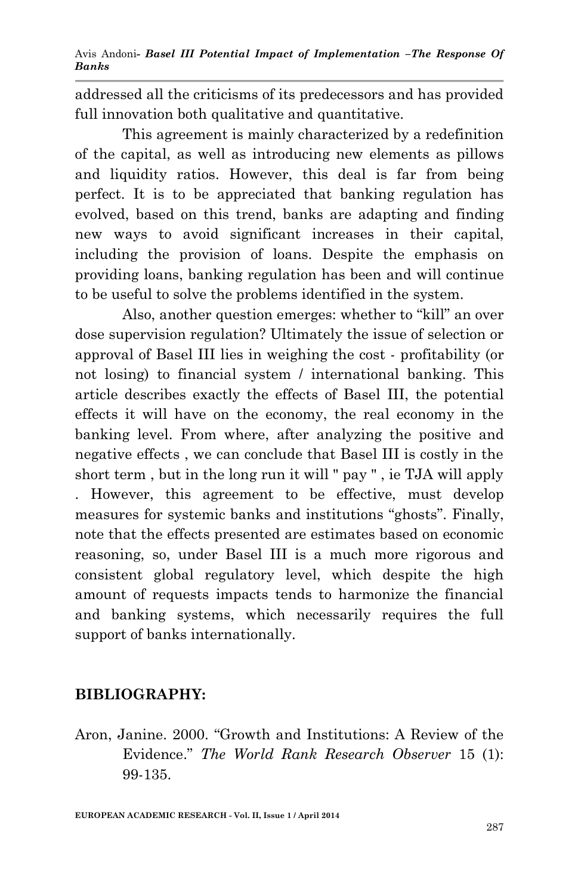Avis Andoni*- Basel III Potential Impact of Implementation –The Response Of Banks*

addressed all the criticisms of its predecessors and has provided full innovation both qualitative and quantitative.

This agreement is mainly characterized by a redefinition of the capital, as well as introducing new elements as pillows and liquidity ratios. However, this deal is far from being perfect. It is to be appreciated that banking regulation has evolved, based on this trend, banks are adapting and finding new ways to avoid significant increases in their capital, including the provision of loans. Despite the emphasis on providing loans, banking regulation has been and will continue to be useful to solve the problems identified in the system.

Also, another question emerges: whether to "kill" an over dose supervision regulation? Ultimately the issue of selection or approval of Basel III lies in weighing the cost - profitability (or not losing) to financial system / international banking. This article describes exactly the effects of Basel III, the potential effects it will have on the economy, the real economy in the banking level. From where, after analyzing the positive and negative effects , we can conclude that Basel III is costly in the short term , but in the long run it will " pay " , ie TJA will apply . However, this agreement to be effective, must develop measures for systemic banks and institutions "ghosts". Finally, note that the effects presented are estimates based on economic reasoning, so, under Basel III is a much more rigorous and consistent global regulatory level, which despite the high amount of requests impacts tends to harmonize the financial and banking systems, which necessarily requires the full support of banks internationally.

#### **BIBLIOGRAPHY:**

Aron, Janine. 2000. "Growth and Institutions: A Review of the Evidence." *The World Rank Research Observer* 15 (1): 99-135.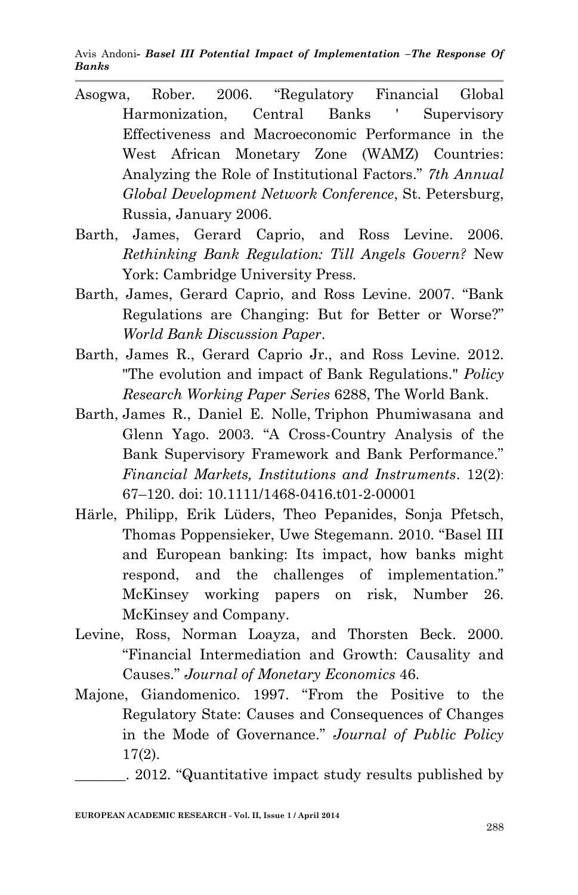Avis Andoni*- Basel III Potential Impact of Implementation –The Response Of Banks*

- Asogwa, Rober. 2006. "Regulatory Financial Global Harmonization, Central Banks ' Supervisory Effectiveness and Macroeconomic Performance in the West African Monetary Zone (WAMZ) Countries: Analyzing the Role of Institutional Factors." *7th Annual Global Development Network Conference*, St. Petersburg, Russia, January 2006.
- Barth, James, Gerard Caprio, and Ross Levine. 2006. *Rethinking Bank Regulation: Till Angels Govern?* New York: Cambridge University Press.
- Barth, James, Gerard Caprio, and Ross Levine. 2007. "Bank Regulations are Changing: But for Better or Worse?" *World Bank Discussion Paper*.
- Barth, James R., Gerard Caprio Jr., and Ross Levine. 2012. "The evolution and impact of Bank Regulations." *Policy Research Working Paper Series* 6288, The World Bank.
- Barth, James R., Daniel E. Nolle, Triphon Phumiwasana and Glenn Yago. 2003. "A Cross-Country Analysis of the Bank Supervisory Framework and Bank Performance." *Financial Markets, Institutions and Instruments*. 12(2): 67–120. doi: 10.1111/1468-0416.t01-2-00001
- Härle, Philipp, Erik Lüders, Theo Pepanides, Sonja Pfetsch, Thomas Poppensieker, Uwe Stegemann. 2010. "Basel III and European banking: Its impact, how banks might respond, and the challenges of implementation." McKinsey working papers on risk, Number 26. McKinsey and Company.
- Levine, Ross, Norman Loayza, and Thorsten Beck. 2000. "Financial Intermediation and Growth: Causality and Causes." *Journal of Monetary Economics* 46.
- Majone, Giandomenico. 1997. "From the Positive to the Regulatory State: Causes and Consequences of Changes in the Mode of Governance." *Journal of Public Policy* 17(2).

<sup>. 2012. &</sup>quot;Quantitative impact study results published by